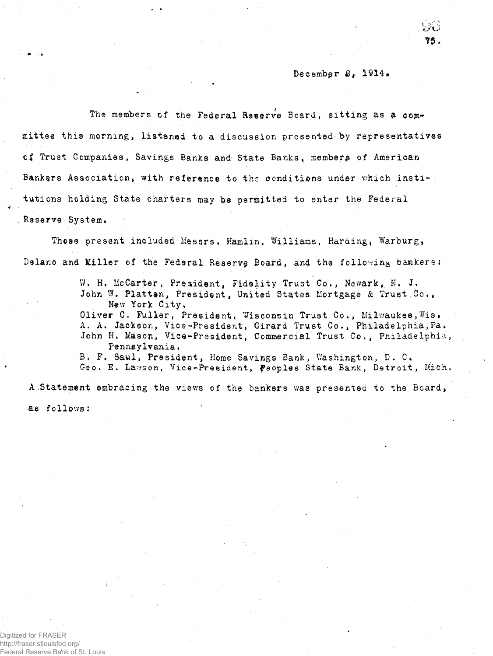## December *8*, 1914.

*i'»l*'' iy'u 7\$.

The members of the Federal Reserve Board, sitting as a committee this morning, listened to a discussion presented-by representatives of Trust Companies, Savings Banks and State Banks, members of American Bankers Association, with reference to the conditions under which institutions holding State charters may be permitted to enter the Federal Reserve System.

Those present included Messrs. Hamlin, Williams, Harding, Warburg, Delano and Miller of the Federal Reserve Board, and the following bankers:

> W. H. McCarter, President, Fidelity Trust Co., Newark, N. J. John W. Platten, President, United States Mortgage & Trust.Co., New York City, Oliver C. Fuller, President, Wisconsin Trust Co., Milwaukee, Wis. A. A. Jackson, Vice-President, Girard Trust Co., Philadelphia, Pa. John H. Mason, Vice-President, Commercial Trust Co., Philadelphia, Pennsylvania, B. F. Saul, President, Home Savings Bank, Washington, D. C. Geo. E. Lawson, Vice-President, peoples State Bank, Detroit, Mich.

A Statement embracing the views of the bankers was presented to the Board, as follows:

Digitized for FRASER http://fraser.stlouisfed.org/ Federal Reserve Bank of St. Louis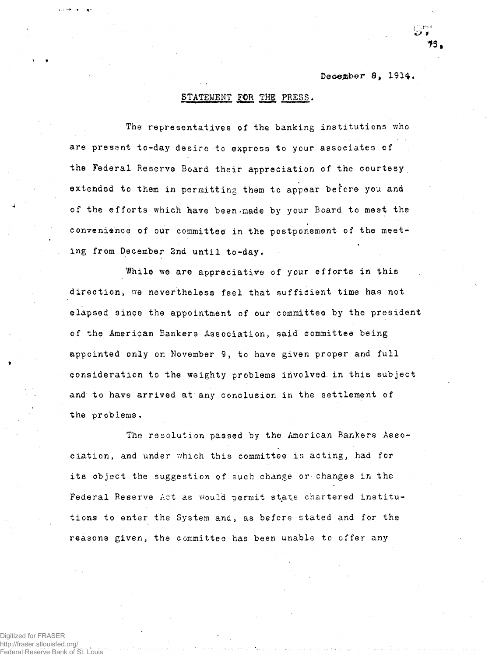## December 8, 1914.

## STATEMENT FOR THE PRESS.

The representatives of the banking institutions who are present to-day desire to express to your associates of the Federal Reserve Board their appreciation of the courtesy extended to them in permitting them to appear before you and of the efforts which have been made by your Board to meet the convenience of our committee in the postponement of the meeting from December 2nd until to-day.

While we are appreciative of your efforts in this direction, we nevertheless feel that sufficient time has not elapsed since the appointment of our committee by the president of the American Bankers Association, said committee being appointed only on November 9, to have given proper and full consideration to the weighty problems involved in this subject and to have arrived at any conclusion in the settlement of the problems.

The resolution passed by the American Bankers Association, and under which this committee is acting, had for its object the suggestion of such change or changes in the Federal Reserve Act as would permit state chartered institutions to enter the System and, as before stated and for the reasons given, the committee has been unable to offer any

Digitized for FRASER httn://fraser.stlouisfed.org/ eral Reserve Bank of St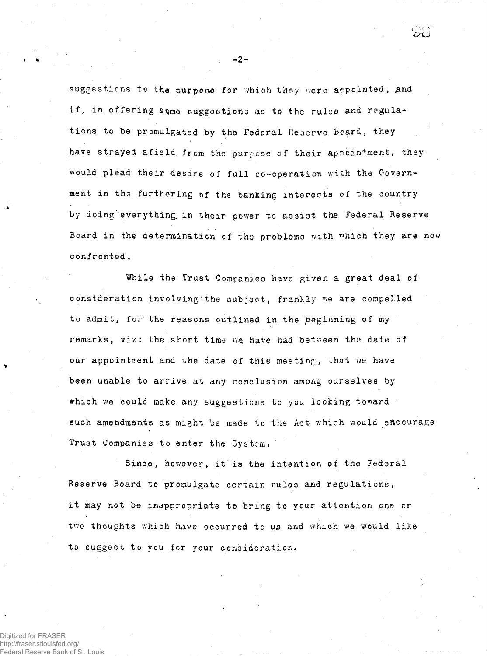suggestions to the purpose for which they were appointed, and if, in offering sqme suggestions as to the rules and regulations to be promulgated by the Federal Reserve Board, they have strayed afield from the purpose of their appointment, they would plead their desire of full co-operation with the Government in the furthering of the banking interests of the country by doing' everything, in their power tc assist the Federal Reserve Board in the determination of the problems with which they are now confronted.

While the Trust Companies have given a great deal of consideration involving'the subject, frankly we are compelled to admit, for' the reasons outlined in the beginning of my remarks, viz: the short time we have had between the date of our appointment and the date of this meeting, that we have been unable to arrive at any conclusion among ourselves by which we could make any suggestions to you looking toward such amendments as might be made to the Act which would encourage / Trust Companies to enter the System.

Since, however, it is the intention of the Federal Reserve Board to promulgate certain rules and regulations, it may not be inappropriate to bring to your attention one or two thoughts which have occurred to us and which we would like to suggest to you for your consideration.

Digitized for FRASER http://fraser.stlouisfed.org/ ederal Reserve Bank of St. Louis **-2-**

ت ت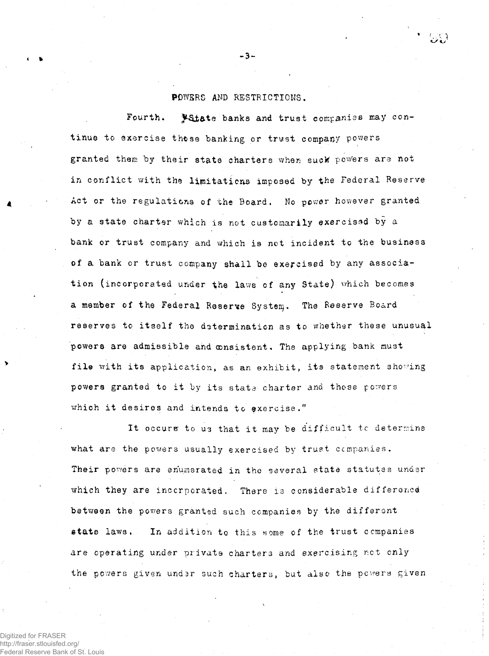## POWSRS AND RESTRICTIONS.

Fourth. Vitate banks and trust companies may continue to exercise those banking or trust company powers granted them by their state charters when suck powers are not in conflict with the limitations imposed by the Federal Reserve Act or the regulations of the Board. No power however granted by a state charter which is not customarily exercised by a bank or trust company and which is not incident to the business of a bank or trust company shall be exercised by any association (incorporated under the laws of any State) which becomes a member of the Federal Reserve System. The Reserve Board reserves to itself the determination as to whether these unusual powers are admissible and consistent. The applying bank must file with its application, as an exhibit, its statement showing powers granted to it by its stats charter and those powers which it desires and intends to exercise."

It occurs to us that it may be difficult to determine what are the powers usually exercised by trust companies. Their powers are enumerated in the several state statutes under which they are incorporated. There is considerable difference between the powers granted such companies by the different state laws. In addition to this some of the trust companies are operating under private charters and exercising net only the powers given under such charters, but also the powers given

Digitized for FRASER http://fraser.stlouisfed.org/ Federal Reserve Bank of St. Louis

**•** fc **-3-**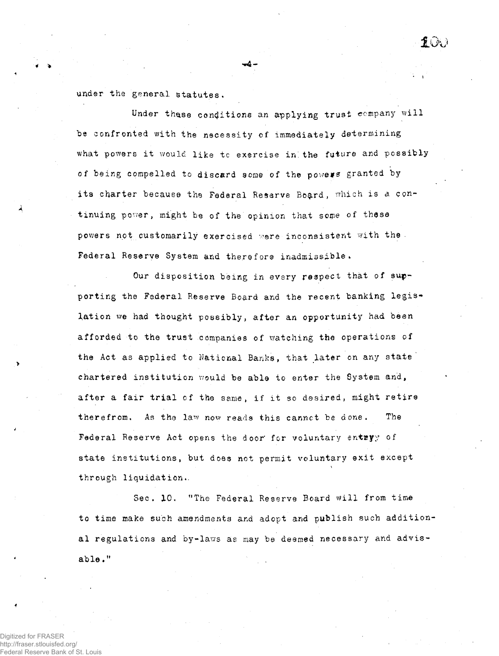under the general statutes.

Under these conditions an applying trust company will be confronted with the necessity of immediately determining what powers it would like to exercise in the future and possibly of being compelled to discard some of the powers granted by its charter because the Federal Reserve Board, which is a continuing power, might be of the opinion that some of these powers not customarily exercised were inconsistent with the Federal Reserve System **and** therefore inadmissible.

 $f(x)$ 

Our disposition being in every respect that of supporting the Federal Reserve Board and the recent banking legislation we had thought possibly, after an opportunity had been afforded to the trust companies of watching the operations of the Act as applied to National Banks, that later on any state' chartered institution would be able to enter the System and, after a fair trial of the same, if it so desired, might retire therefrom. As the law now reads this cannot be done. The Federal Reserve Act opens the door for voluntary entryy of state institutions, but does not permit voluntary exit except through liquidation..

Sec. 10. "The Federal Reserve Board will from time to time make such amendments and adopt and publish such addition al regulations and by-laws as may be deemed necessary and advisable."

Digitized for FRASER http://fraser.stlouisfed.org/ Federal Reserve Bank of St.